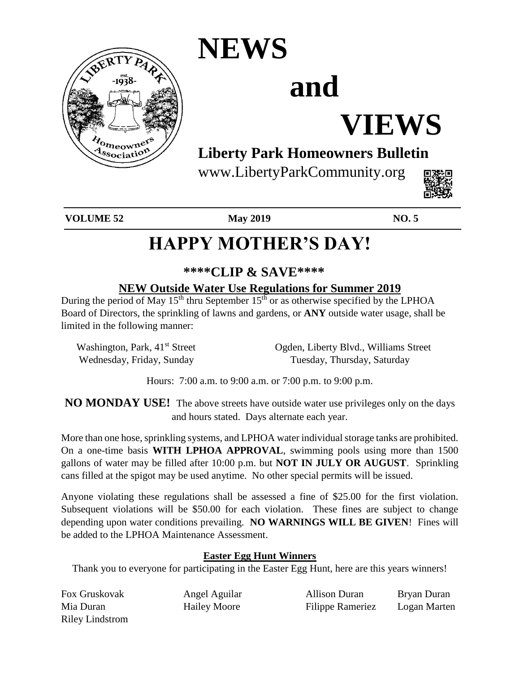

# **NEWS**

# **and**

# **VIEWS**

## **Liberty Park Homeowners Bulletin**

www.LibertyParkCommunity.org



**VOLUME 52 May 2019 NO. 5**

# **HAPPY MOTHER'S DAY!**

## **\*\*\*\*CLIP & SAVE\*\*\*\***

### **NEW Outside Water Use Regulations for Summer 2019**

During the period of May  $15<sup>th</sup>$  thru September  $15<sup>th</sup>$  or as otherwise specified by the LPHOA Board of Directors, the sprinkling of lawns and gardens, or **ANY** outside water usage, shall be limited in the following manner:

Washington, Park, 41<sup>st</sup> Street Ogden, Liberty Blvd., Williams Street Wednesday, Friday, Sunday Tuesday, Thursday, Saturday

Hours: 7:00 a.m. to 9:00 a.m. or 7:00 p.m. to 9:00 p.m.

**NO MONDAY USE!** The above streets have outside water use privileges only on the days and hours stated. Days alternate each year.

More than one hose, sprinkling systems, and LPHOA water individual storage tanks are prohibited. On a one-time basis **WITH LPHOA APPROVAL**, swimming pools using more than 1500 gallons of water may be filled after 10:00 p.m. but **NOT IN JULY OR AUGUST**. Sprinkling cans filled at the spigot may be used anytime. No other special permits will be issued.

Anyone violating these regulations shall be assessed a fine of \$25.00 for the first violation. Subsequent violations will be \$50.00 for each violation. These fines are subject to change depending upon water conditions prevailing. **NO WARNINGS WILL BE GIVEN**! Fines will be added to the LPHOA Maintenance Assessment.

### **Easter Egg Hunt Winners**

Thank you to everyone for participating in the Easter Egg Hunt, here are this years winners!

| Fox Gruskovak          | Angel Aguilar       | Allison Duran           | Bryan Duran  |
|------------------------|---------------------|-------------------------|--------------|
| Mia Duran              | <b>Hailey Moore</b> | <b>Filippe Rameriez</b> | Logan Marten |
| <b>Riley Lindstrom</b> |                     |                         |              |